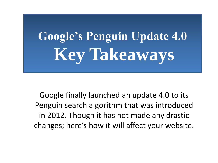# **Google's Penguin Update 4.0 Key Takeaways**

Google finally launched an update 4.0 to its Penguin search algorithm that was introduced in 2012. Though it has not made any drastic changes; here's how it will affect your website.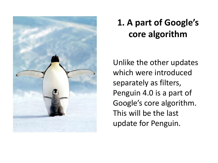

### **1. A part of Google's core algorithm**

Unlike the other updates which were introduced separately as filters, Penguin 4.0 is a part of Google's core algorithm. This will be the last update for Penguin.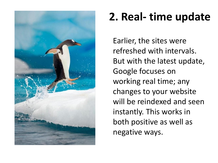

## **2. Real- time update**

Earlier, the sites were refreshed with intervals. But with the latest update, Google focuses on working real time; any changes to your website will be reindexed and seen instantly. This works in both positive as well as negative ways.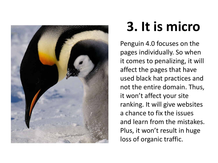

# **3. It is micro**

Penguin 4.0 focuses on the pages individually. So when it comes to penalizing, it will affect the pages that have used black hat practices and not the entire domain. Thus, it won't affect your site ranking. It will give websites a chance to fix the issues and learn from the mistakes. Plus, it won't result in huge loss of organic traffic.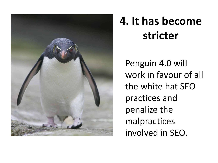

## **4. It has become stricter**

Penguin 4.0 will work in favour of all the white hat SEO practices and penalize the malpractices involved in SEO.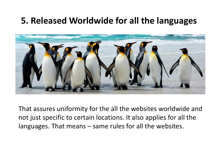#### **5. Released Worldwide for all the languages**



That assures uniformity for the all the websites worldwide and not just specific to certain locations. It also applies for all the languages. That means – same rules for all the websites.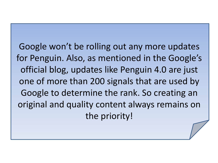Google won't be rolling out any more updates for Penguin. Also, as mentioned in the Google's official blog, updates like Penguin 4.0 are just one of more than 200 signals that are used by Google to determine the rank. So creating an original and quality content always remains on the priority!